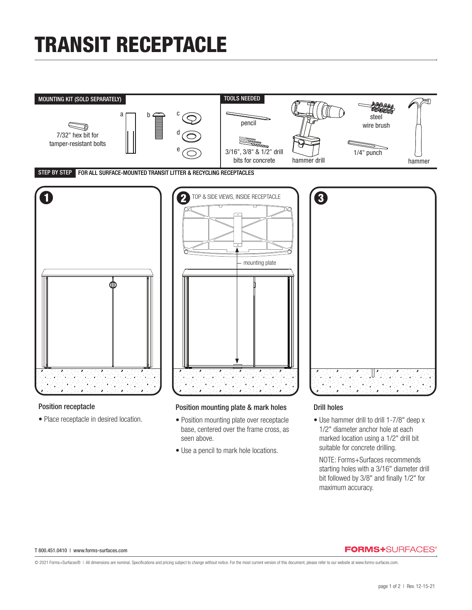# TRANSIT RECEPTACLE



• Place receptacle in desired location.

### Position mounting plate & mark holes

- Position mounting plate over receptacle base, centered over the frame cross, as seen above.
- Use a pencil to mark hole locations.

### Drill holes

• Use hammer drill to drill 1-7/8" deep x 1/2" diameter anchor hole at each marked location using a 1/2" drill bit suitable for concrete drilling.

 NOTE: Forms+Surfaces recommends starting holes with a 3/16" diameter drill bit followed by 3/8" and finally 1/2" for maximum accuracy.

#### T 800.451.0410 | www.forms-surfaces.com

#### **FORMS+**SURFACES®

© 2021 Forms+Surfaces® | All dimensions are nominal. Specifications and pricing subject to change without notice. For the most current version of this document, please refer to our website at www.forms-surfaces.com.